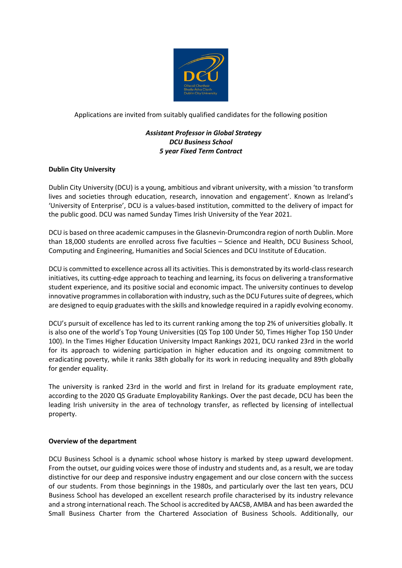

Applications are invited from suitably qualified candidates for the following position

# *Assistant Professor in Global Strategy DCU Business School 5 year Fixed Term Contract*

## **Dublin City University**

Dublin City University (DCU) is a young, ambitious and vibrant university, with a mission 'to transform lives and societies through education, research, innovation and engagement'. Known as Ireland's 'University of Enterprise', DCU is a values-based institution, committed to the delivery of impact for the public good. DCU was named Sunday Times Irish University of the Year 2021.

DCU is based on three academic campuses in the Glasnevin-Drumcondra region of north Dublin. More than 18,000 students are enrolled across five faculties – Science and Health, DCU Business School, Computing and Engineering, Humanities and Social Sciences and DCU Institute of Education.

DCU is committed to excellence across all its activities. This is demonstrated by its world-class research initiatives, its cutting-edge approach to teaching and learning, its focus on delivering a transformative student experience, and its positive social and economic impact. The university continues to develop innovative programmes in collaboration with industry, such as the DCU Futures suite of degrees, which are designed to equip graduates with the skills and knowledge required in a rapidly evolving economy.

DCU's pursuit of excellence has led to its current ranking among the top 2% of universities globally. It is also one of the world's Top Young Universities (QS Top 100 Under 50, Times Higher Top 150 Under 100). In the Times Higher Education University Impact Rankings 2021, DCU ranked 23rd in the world for its approach to widening participation in higher education and its ongoing commitment to eradicating poverty, while it ranks 38th globally for its work in reducing inequality and 89th globally for gender equality.

The university is ranked 23rd in the world and first in Ireland for its graduate employment rate, according to the 2020 QS Graduate Employability Rankings. Over the past decade, DCU has been the leading Irish university in the area of technology transfer, as reflected by licensing of intellectual property.

### **Overview of the department**

DCU Business School is a dynamic school whose history is marked by steep upward development. From the outset, our guiding voices were those of industry and students and, as a result, we are today distinctive for our deep and responsive industry engagement and our close concern with the success of our students. From those beginnings in the 1980s, and particularly over the last ten years, DCU Business School has developed an excellent research profile characterised by its industry relevance and a strong international reach. The School is accredited by AACSB, AMBA and has been awarded the Small Business Charter from the Chartered Association of Business Schools. Additionally, our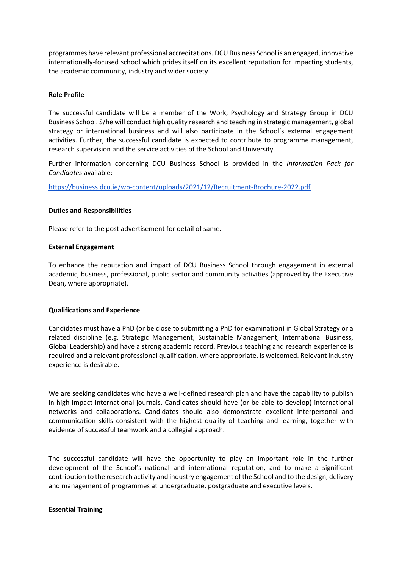programmes have relevant professional accreditations. DCU Business School is an engaged, innovative internationally-focused school which prides itself on its excellent reputation for impacting students, the academic community, industry and wider society.

### **Role Profile**

The successful candidate will be a member of the Work, Psychology and Strategy Group in DCU Business School. S/he will conduct high quality research and teaching in strategic management, global strategy or international business and will also participate in the School's external engagement activities. Further, the successful candidate is expected to contribute to programme management, research supervision and the service activities of the School and University.

Further information concerning DCU Business School is provided in the *Information Pack for Candidates* available:

<https://business.dcu.ie/wp-content/uploads/2021/12/Recruitment-Brochure-2022.pdf>

## **Duties and Responsibilities**

Please refer to the post advertisement for detail of same.

### **External Engagement**

To enhance the reputation and impact of DCU Business School through engagement in external academic, business, professional, public sector and community activities (approved by the Executive Dean, where appropriate).

### **Qualifications and Experience**

Candidates must have a PhD (or be close to submitting a PhD for examination) in Global Strategy or a related discipline (e.g. Strategic Management, Sustainable Management, International Business, Global Leadership) and have a strong academic record. Previous teaching and research experience is required and a relevant professional qualification, where appropriate, is welcomed. Relevant industry experience is desirable.

We are seeking candidates who have a well-defined research plan and have the capability to publish in high impact international journals. Candidates should have (or be able to develop) international networks and collaborations. Candidates should also demonstrate excellent interpersonal and communication skills consistent with the highest quality of teaching and learning, together with evidence of successful teamwork and a collegial approach.

The successful candidate will have the opportunity to play an important role in the further development of the School's national and international reputation, and to make a significant contribution to the research activity and industry engagement of the School and to the design, delivery and management of programmes at undergraduate, postgraduate and executive levels.

### **Essential Training**